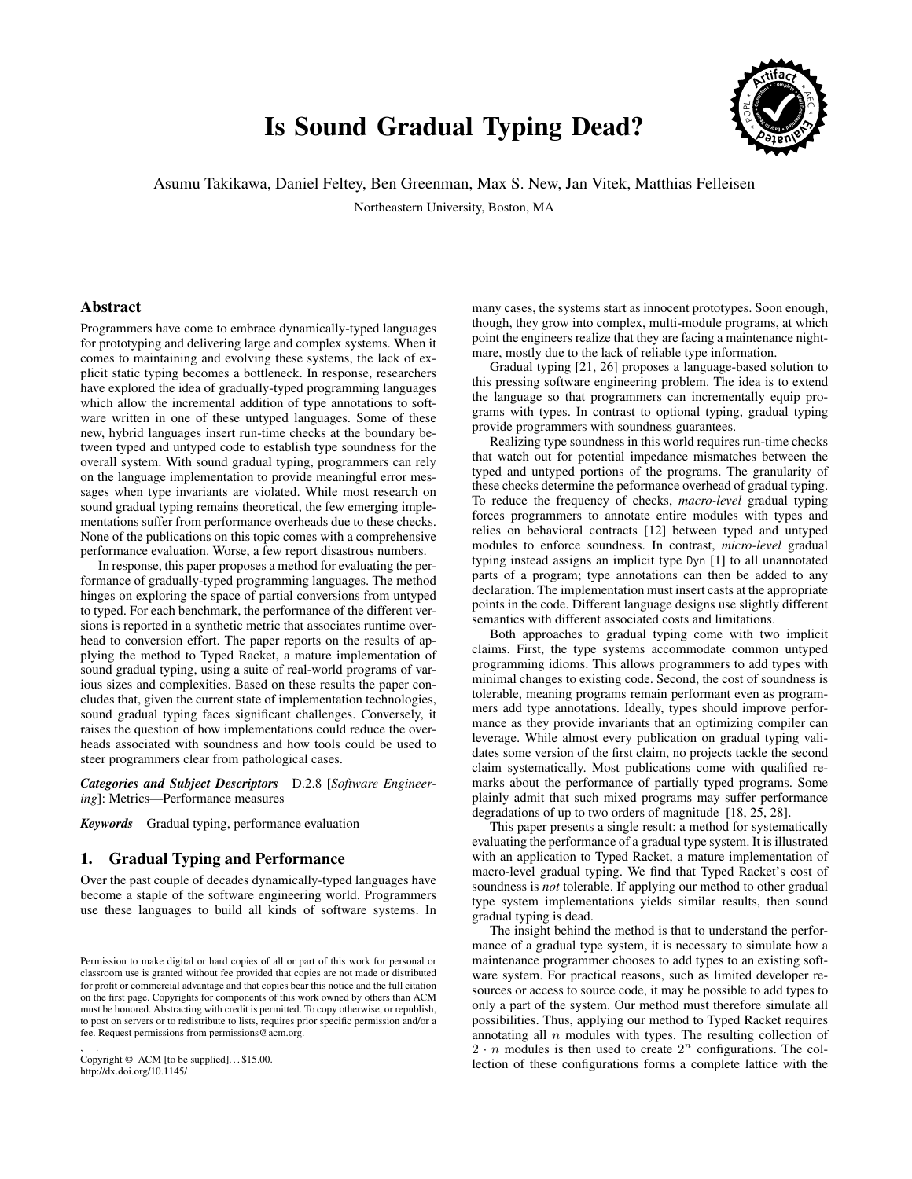# Is Sound Gradual Typing Dead?



Asumu Takikawa, Daniel Feltey, Ben Greenman, Max S. New, Jan Vitek, Matthias Felleisen

Northeastern University, Boston, MA

# Abstract

Programmers have come to embrace dynamically-typed languages for prototyping and delivering large and complex systems. When it comes to maintaining and evolving these systems, the lack of explicit static typing becomes a bottleneck. In response, researchers have explored the idea of gradually-typed programming languages which allow the incremental addition of type annotations to software written in one of these untyped languages. Some of these new, hybrid languages insert run-time checks at the boundary between typed and untyped code to establish type soundness for the overall system. With sound gradual typing, programmers can rely on the language implementation to provide meaningful error messages when type invariants are violated. While most research on sound gradual typing remains theoretical, the few emerging implementations suffer from performance overheads due to these checks. None of the publications on this topic comes with a comprehensive performance evaluation. Worse, a few report disastrous numbers.

In response, this paper proposes a method for evaluating the performance of gradually-typed programming languages. The method hinges on exploring the space of partial conversions from untyped to typed. For each benchmark, the performance of the different versions is reported in a synthetic metric that associates runtime overhead to conversion effort. The paper reports on the results of applying the method to Typed Racket, a mature implementation of sound gradual typing, using a suite of real-world programs of various sizes and complexities. Based on these results the paper concludes that, given the current state of implementation technologies, sound gradual typing faces significant challenges. Conversely, it raises the question of how implementations could reduce the overheads associated with soundness and how tools could be used to steer programmers clear from pathological cases.

*Categories and Subject Descriptors* D.2.8 [*Software Engineering*]: Metrics—Performance measures

*Keywords* Gradual typing, performance evaluation

# 1. Gradual Typing and Performance

Over the past couple of decades dynamically-typed languages have become a staple of the software engineering world. Programmers use these languages to build all kinds of software systems. In

, . Copyright © ACM [to be supplied]. . . \$15.00. http://dx.doi.org/10.1145/

many cases, the systems start as innocent prototypes. Soon enough, though, they grow into complex, multi-module programs, at which point the engineers realize that they are facing a maintenance nightmare, mostly due to the lack of reliable type information.

Gradual typing [\[21, 26\]](#page-11-0) proposes a language-based solution to this pressing software engineering problem. The idea is to extend the language so that programmers can incrementally equip programs with types. In contrast to optional typing, gradual typing provide programmers with soundness guarantees.

Realizing type soundness in this world requires run-time checks that watch out for potential impedance mismatches between the typed and untyped portions of the programs. The granularity of these checks determine the peformance overhead of gradual typing. To reduce the frequency of checks, *macro-level* gradual typing forces programmers to annotate entire modules with types and relies on behavioral contracts [\[12\]](#page-11-0) between typed and untyped modules to enforce soundness. In contrast, *micro-level* gradual typing instead assigns an implicit type Dyn [\[1\]](#page-11-0) to all unannotated parts of a program; type annotations can then be added to any declaration. The implementation must insert casts at the appropriate points in the code. Different language designs use slightly different semantics with different associated costs and limitations.

Both approaches to gradual typing come with two implicit claims. First, the type systems accommodate common untyped programming idioms. This allows programmers to add types with minimal changes to existing code. Second, the cost of soundness is tolerable, meaning programs remain performant even as programmers add type annotations. Ideally, types should improve performance as they provide invariants that an optimizing compiler can leverage. While almost every publication on gradual typing validates some version of the first claim, no projects tackle the second claim systematically. Most publications come with qualified remarks about the performance of partially typed programs. Some plainly admit that such mixed programs may suffer performance degradations of up to two orders of magnitude [\[18, 25, 28\]](#page-11-0).

This paper presents a single result: a method for systematically evaluating the performance of a gradual type system. It is illustrated with an application to Typed Racket, a mature implementation of macro-level gradual typing. We find that Typed Racket's cost of soundness is *not* tolerable. If applying our method to other gradual type system implementations yields similar results, then sound gradual typing is dead.

The insight behind the method is that to understand the performance of a gradual type system, it is necessary to simulate how a maintenance programmer chooses to add types to an existing software system. For practical reasons, such as limited developer resources or access to source code, it may be possible to add types to only a part of the system. Our method must therefore simulate all possibilities. Thus, applying our method to Typed Racket requires annotating all  $n$  modules with types. The resulting collection of  $2 \cdot n$  modules is then used to create  $2^n$  configurations. The collection of these configurations forms a complete lattice with the

Permission to make digital or hard copies of all or part of this work for personal or classroom use is granted without fee provided that copies are not made or distributed for profit or commercial advantage and that copies bear this notice and the full citation on the first page. Copyrights for components of this work owned by others than ACM must be honored. Abstracting with credit is permitted. To copy otherwise, or republish, to post on servers or to redistribute to lists, requires prior specific permission and/or a fee. Request permissions from permissions@acm.org.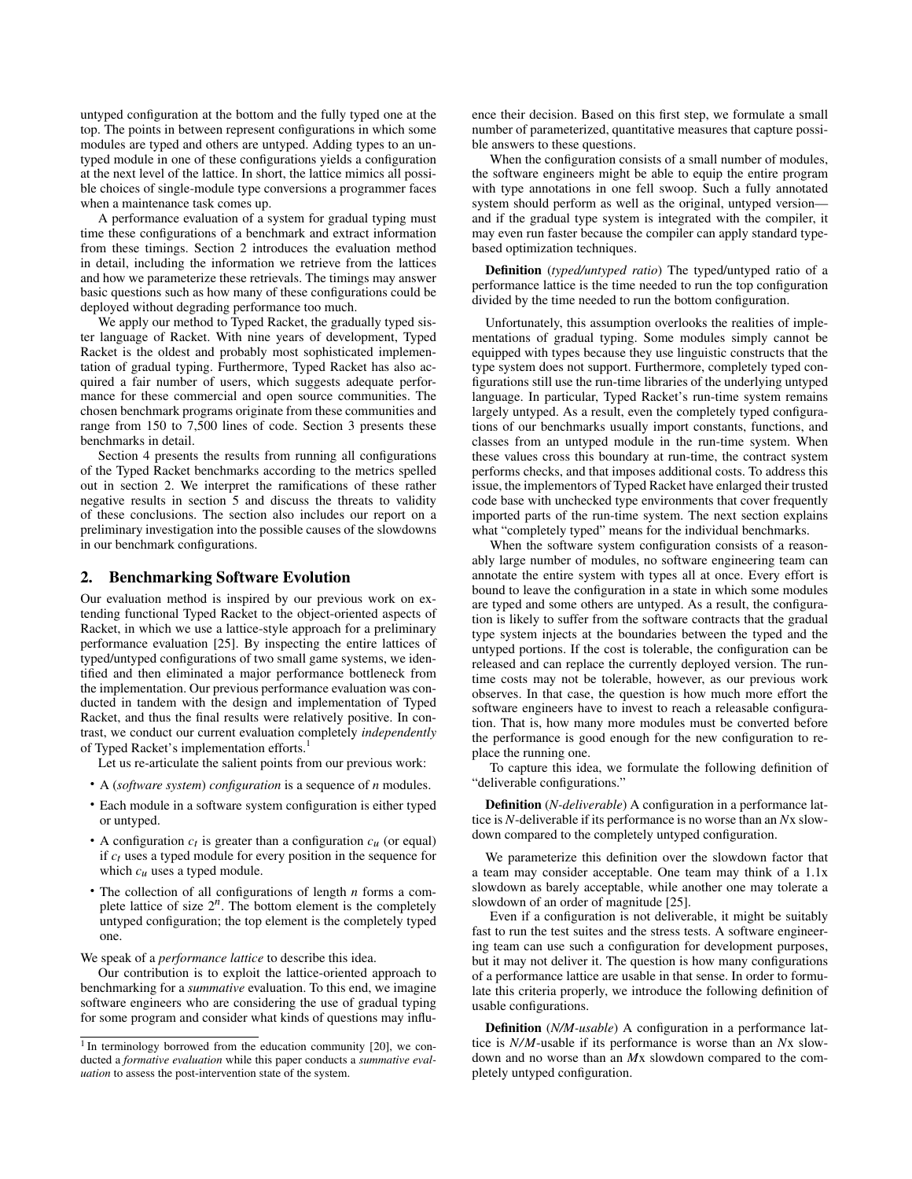untyped configuration at the bottom and the fully typed one at the top. The points in between represent configurations in which some modules are typed and others are untyped. Adding types to an untyped module in one of these configurations yields a configuration at the next level of the lattice. In short, the lattice mimics all possible choices of single-module type conversions a programmer faces when a maintenance task comes up.

A performance evaluation of a system for gradual typing must time these configurations of a benchmark and extract information from these timings. Sectio[n 2](#page-1-0) introduces the evaluation method in detail, including the information we retrieve from the lattices and how we parameterize these retrievals. The timings may answer basic questions such as how many of these configurations could be deployed without degrading performance too much.

We apply our method to Typed Racket, the gradually typed sister language of Racket. With nine years of development, Typed Racket is the oldest and probably most sophisticated implementation of gradual typing. Furthermore, Typed Racket has also acquired a fair number of users, which suggests adequate performance for these commercial and open source communities. The chosen benchmark programs originate from these communities and range from 150 to 7,500 lines of code. [Section 3](#page-2-0) presents these benchmarks in detail.

Sectio[n 4](#page-4-0) presents the results from running all configurations of the Typed Racket benchmarks according to the metrics spelled out in sectio[n 2.](#page-1-0) We interpret the ramifications of these rather negative results in sectio[n 5](#page-8-0) and discuss the threats to validity of these conclusions. The section also includes our report on a preliminary investigation into the possible causes of the slowdowns in our benchmark configurations.

# <span id="page-1-0"></span>2. Benchmarking Software Evolution

Our evaluation method is inspired by our previous work on extending functional Typed Racket to the object-oriented aspects of Racket, in which we use a lattice-style approach for a preliminary performance evaluation [\[25\]](#page-11-0). By inspecting the entire lattices of typed/untyped configurations of two small game systems, we identified and then eliminated a major performance bottleneck from the implementation. Our previous performance evaluation was conducted in tandem with the design and implementation of Typed Racket, and thus the final results were relatively positive. In contrast, we conduct our current evaluation completely *independently* of Typed Racket's implementation efforts.<sup>[1](#page-1-1)</sup>

Let us re-articulate the salient points from our previous work:

- A (*software system*) *configuration* is a sequence of *n* modules.
- Each module in a software system configuration is either typed or untyped.
- A configuration  $c_t$  is greater than a configuration  $c_u$  (or equal) if *ct* uses a typed module for every position in the sequence for which  $c<sub>u</sub>$  uses a typed module.
- The collection of all configurations of length *n* forms a complete lattice of size  $2^n$ . The bottom element is the completely untyped configuration; the top element is the completely typed one.

We speak of a *performance lattice* to describe this idea.

Our contribution is to exploit the lattice-oriented approach to benchmarking for a *summative* evaluation. To this end, we imagine software engineers who are considering the use of gradual typing for some program and consider what kinds of questions may influence their decision. Based on this first step, we formulate a small number of parameterized, quantitative measures that capture possible answers to these questions.

When the configuration consists of a small number of modules, the software engineers might be able to equip the entire program with type annotations in one fell swoop. Such a fully annotated system should perform as well as the original, untyped version and if the gradual type system is integrated with the compiler, it may even run faster because the compiler can apply standard typebased optimization techniques.

Definition (*typed/untyped ratio*) The typed/untyped ratio of a performance lattice is the time needed to run the top configuration divided by the time needed to run the bottom configuration.

Unfortunately, this assumption overlooks the realities of implementations of gradual typing. Some modules simply cannot be equipped with types because they use linguistic constructs that the type system does not support. Furthermore, completely typed configurations still use the run-time libraries of the underlying untyped language. In particular, Typed Racket's run-time system remains largely untyped. As a result, even the completely typed configurations of our benchmarks usually import constants, functions, and classes from an untyped module in the run-time system. When these values cross this boundary at run-time, the contract system performs checks, and that imposes additional costs. To address this issue, the implementors of Typed Racket have enlarged their trusted code base with unchecked type environments that cover frequently imported parts of the run-time system. The next section explains what "completely typed" means for the individual benchmarks.

When the software system configuration consists of a reasonably large number of modules, no software engineering team can annotate the entire system with types all at once. Every effort is bound to leave the configuration in a state in which some modules are typed and some others are untyped. As a result, the configuration is likely to suffer from the software contracts that the gradual type system injects at the boundaries between the typed and the untyped portions. If the cost is tolerable, the configuration can be released and can replace the currently deployed version. The runtime costs may not be tolerable, however, as our previous work observes. In that case, the question is how much more effort the software engineers have to invest to reach a releasable configuration. That is, how many more modules must be converted before the performance is good enough for the new configuration to replace the running one.

To capture this idea, we formulate the following definition of "deliverable configurations."

Definition (*N-deliverable*) A configuration in a performance lattice is *N*-deliverable if its performance is no worse than an *N*x slowdown compared to the completely untyped configuration.

We parameterize this definition over the slowdown factor that a team may consider acceptable. One team may think of a 1.1x slowdown as barely acceptable, while another one may tolerate a slowdown of an order of magnitude [\[25\]](#page-11-0).

Even if a configuration is not deliverable, it might be suitably fast to run the test suites and the stress tests. A software engineering team can use such a configuration for development purposes, but it may not deliver it. The question is how many configurations of a performance lattice are usable in that sense. In order to formulate this criteria properly, we introduce the following definition of usable configurations.

Definition (*N/M-usable*) A configuration in a performance lattice is *N/M*-usable if its performance is worse than an *N*x slowdown and no worse than an *M*x slowdown compared to the completely untyped configuration.

<span id="page-1-1"></span> $1$ In terminology borrowed from the education community [\[20\]](#page-11-0), we conducted a *formative evaluation* while this paper conducts a *summative evaluation* to assess the post-intervention state of the system.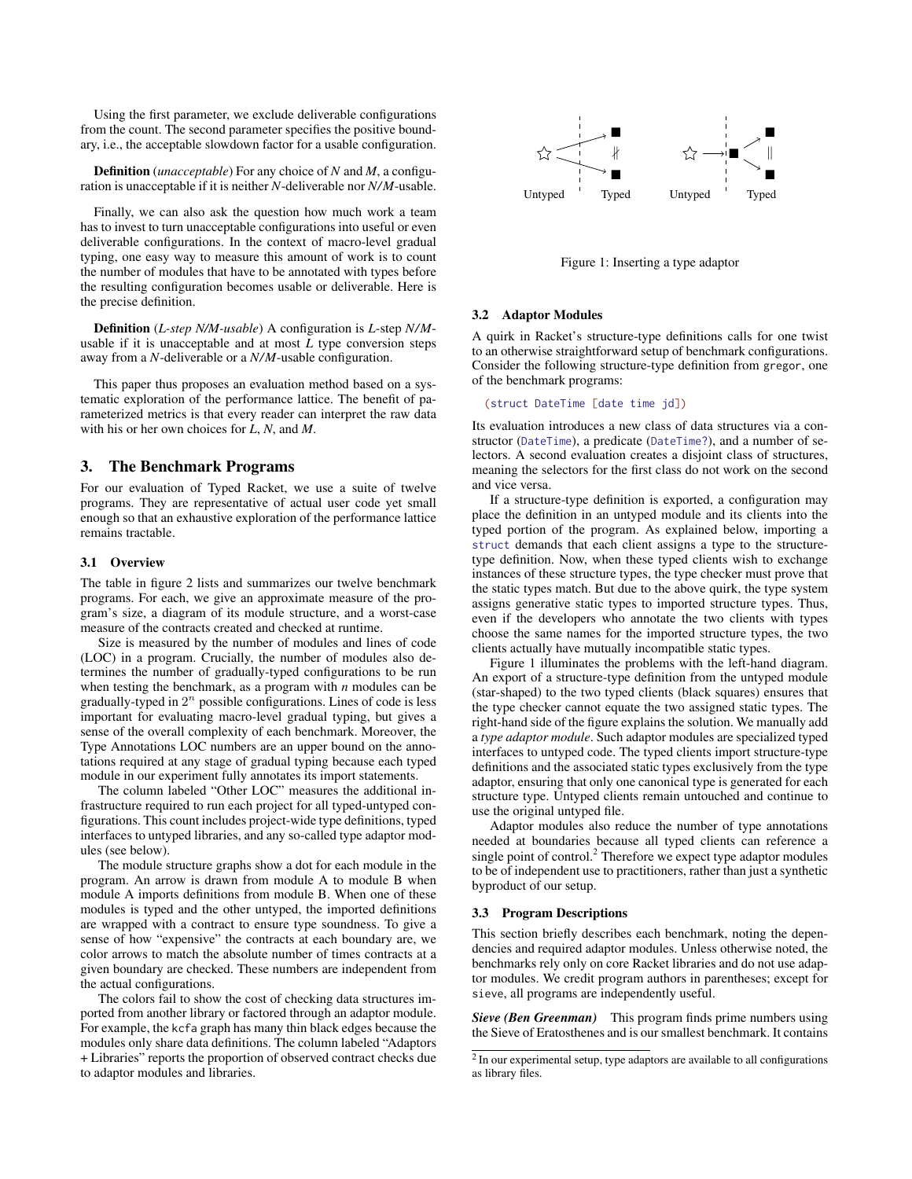Using the first parameter, we exclude deliverable configurations from the count. The second parameter specifies the positive boundary, i.e., the acceptable slowdown factor for a usable configuration.

Definition (*unacceptable*) For any choice of *N* and *M*, a configuration is unacceptable if it is neither *N*-deliverable nor *N/M*-usable.

Finally, we can also ask the question how much work a team has to invest to turn unacceptable configurations into useful or even deliverable configurations. In the context of macro-level gradual typing, one easy way to measure this amount of work is to count the number of modules that have to be annotated with types before the resulting configuration becomes usable or deliverable. Here is the precise definition.

Definition (*L-step N/M-usable*) A configuration is *L*-step *N/M*usable if it is unacceptable and at most *L* type conversion steps away from a *N*-deliverable or a *N/M*-usable configuration.

This paper thus proposes an evaluation method based on a systematic exploration of the performance lattice. The benefit of parameterized metrics is that every reader can interpret the raw data with his or her own choices for *L*, *N*, and *M*.

# <span id="page-2-0"></span>3. The Benchmark Programs

For our evaluation of Typed Racket, we use a suite of twelve programs. They are representative of actual user code yet small enough so that an exhaustive exploration of the performance lattice remains tractable.

# 3.1 Overview

The table in figure [2](#page-3-0) lists and summarizes our twelve benchmark programs. For each, we give an approximate measure of the program's size, a diagram of its module structure, and a worst-case measure of the contracts created and checked at runtime.

Size is measured by the number of modules and lines of code (LOC) in a program. Crucially, the number of modules also determines the number of gradually-typed configurations to be run when testing the benchmark, as a program with *n* modules can be gradually-typed in  $2^n$  possible configurations. Lines of code is less important for evaluating macro-level gradual typing, but gives a sense of the overall complexity of each benchmark. Moreover, the Type Annotations LOC numbers are an upper bound on the annotations required at any stage of gradual typing because each typed module in our experiment fully annotates its import statements.

The column labeled "Other LOC" measures the additional infrastructure required to run each project for all typed-untyped configurations. This count includes project-wide type definitions, typed interfaces to untyped libraries, and any so-called type adaptor modules (see below).

The module structure graphs show a dot for each module in the program. An arrow is drawn from module A to module B when module A imports definitions from module B. When one of these modules is typed and the other untyped, the imported definitions are wrapped with a contract to ensure type soundness. To give a sense of how "expensive" the contracts at each boundary are, we color arrows to match the absolute number of times contracts at a given boundary are checked. These numbers are independent from the actual configurations.

The colors fail to show the cost of checking data structures imported from another library or factored through an adaptor module. For example, the kcfa graph has many thin black edges because the modules only share data definitions. The column labeled "Adaptors + Libraries" reports the proportion of observed contract checks due to adaptor modules and libraries.

<span id="page-2-1"></span>

Figure 1: Inserting a type adaptor

#### 3.2 Adaptor Modules

A quirk in Racket's structure-type definitions calls for one twist to an otherwise straightforward setup of benchmark configurations. Consider the following structure-type definition from gregor, one of the benchmark programs:

#### (struct DateTime [date time jd])

Its evaluation introduces a new class of data structures via a constructor (DateTime), a predicate (DateTime?), and a number of selectors. A second evaluation creates a disjoint class of structures, meaning the selectors for the first class do not work on the second and vice versa.

If a structure-type definition is exported, a configuration may place the definition in an untyped module and its clients into the typed portion of the program. As explained below, importing a struct demands that each client assigns a type to the structuretype definition. Now, when these typed clients wish to exchange instances of these structure types, the type checker must prove that the static types match. But due to the above quirk, the type system assigns generative static types to imported structure types. Thus, even if the developers who annotate the two clients with types choose the same names for the imported structure types, the two clients actually have mutually incompatible static types.

Figure [1](#page-2-1) illuminates the problems with the left-hand diagram. An export of a structure-type definition from the untyped module (star-shaped) to the two typed clients (black squares) ensures that the type checker cannot equate the two assigned static types. The right-hand side of the figure explains the solution. We manually add a *type adaptor module*. Such adaptor modules are specialized typed interfaces to untyped code. The typed clients import structure-type definitions and the associated static types exclusively from the type adaptor, ensuring that only one canonical type is generated for each structure type. Untyped clients remain untouched and continue to use the original untyped file.

Adaptor modules also reduce the number of type annotations needed at boundaries because all typed clients can reference a single point of control.<sup>[2](#page-2-2)</sup> Therefore we expect type adaptor modules to be of independent use to practitioners, rather than just a synthetic byproduct of our setup.

#### 3.3 Program Descriptions

This section briefly describes each benchmark, noting the dependencies and required adaptor modules. Unless otherwise noted, the benchmarks rely only on core Racket libraries and do not use adaptor modules. We credit program authors in parentheses; except for sieve, all programs are independently useful.

*Sieve (Ben Greenman)* This program finds prime numbers using the Sieve of Eratosthenes and is our smallest benchmark. It contains

<span id="page-2-2"></span> $2$  In our experimental setup, type adaptors are available to all configurations as library files.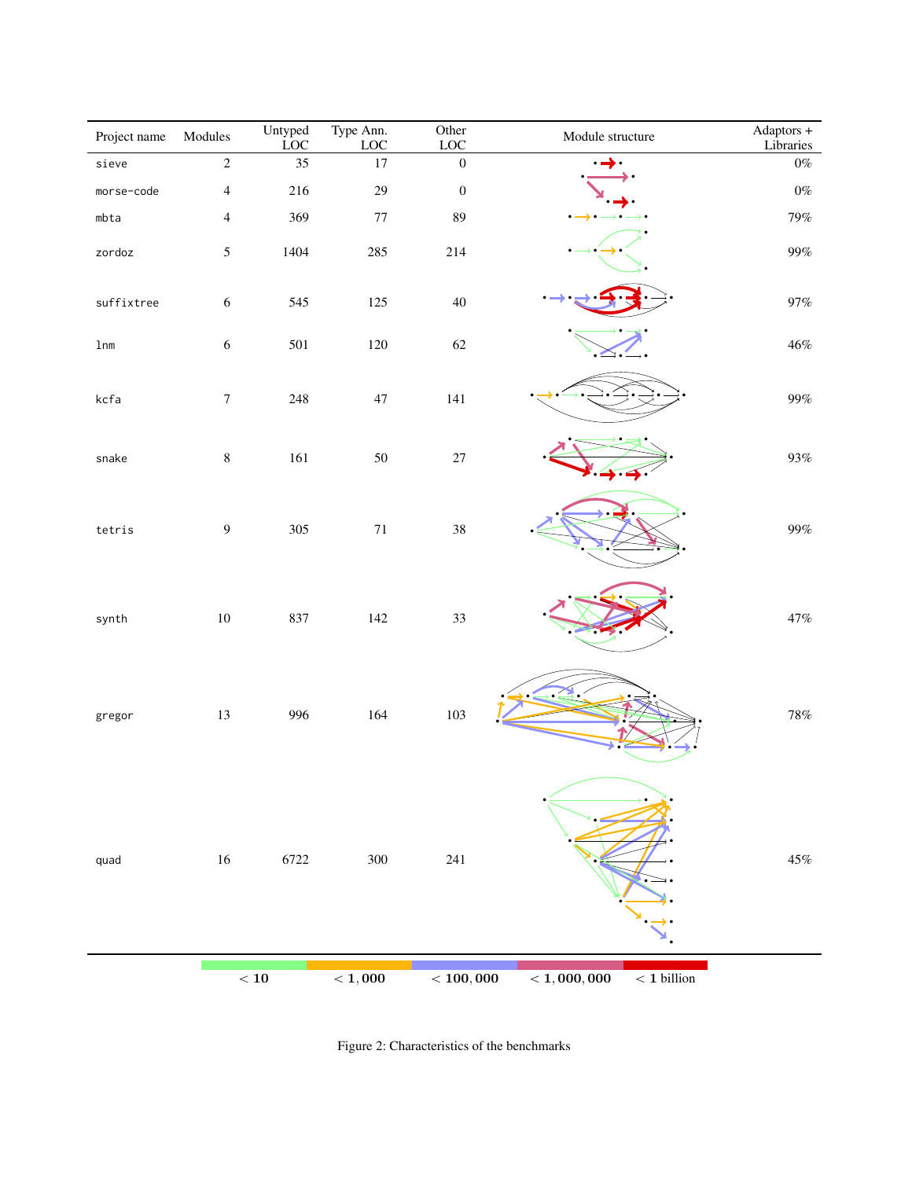<span id="page-3-0"></span>

| Project name  | Modules          | Untyped<br><b>LOC</b> | Type Ann.<br>$_{\mathrm{LOC}}$ | Other<br>$_{\mathrm{LOC}}$ | Module structure                         | Adaptors +<br>Libraries |
|---------------|------------------|-----------------------|--------------------------------|----------------------------|------------------------------------------|-------------------------|
| sieve         | $\overline{2}$   | 35                    | $17\,$                         | $\boldsymbol{0}$           | →.<br>$\bullet$                          | $0\%$                   |
| morse-code    | $\sqrt{4}$       | 216                   | $29\,$                         | $\boldsymbol{0}$           |                                          | $0\%$                   |
| mbta          | $\overline{4}$   | 369                   | $77\,$                         | 89                         |                                          | $79\%$                  |
| zordoz        | $\sqrt{5}$       | 1404                  | 285                            | 214                        |                                          | $99\%$                  |
| suffixtree    | $\sqrt{6}$       | 545                   | $125\,$                        | $40\,$                     |                                          | $97\%$                  |
| $1 \text{nm}$ | $\sqrt{6}$       | 501                   | 120                            | 62                         |                                          | $46\%$                  |
| kcfa          | $\boldsymbol{7}$ | $248\,$               | $47\,$                         | 141                        |                                          | $99\%$                  |
| ${\tt snake}$ | $\,8\,$          | $161\,$               | 50                             | $27\,$                     |                                          | $93\%$                  |
| tetris        | $\boldsymbol{9}$ | 305                   | $71\,$                         | 38                         |                                          | $99\%$                  |
| synth         | $10\,$           | 837                   | 142                            | 33                         |                                          | $47\%$                  |
| gregor        | 13               | 996                   | 164                            | 103                        |                                          | $78\%$                  |
| quad          | $16\,$           | 6722                  | $300\,$                        | $241\,$                    |                                          | $45\%$                  |
|               |                  | < 10                  | $<$ 1,000                      | < 100,000                  | $<$ 1, 000, 000<br>$<\mathbf{1}$ billion |                         |

Figure 2: Characteristics of the benchmarks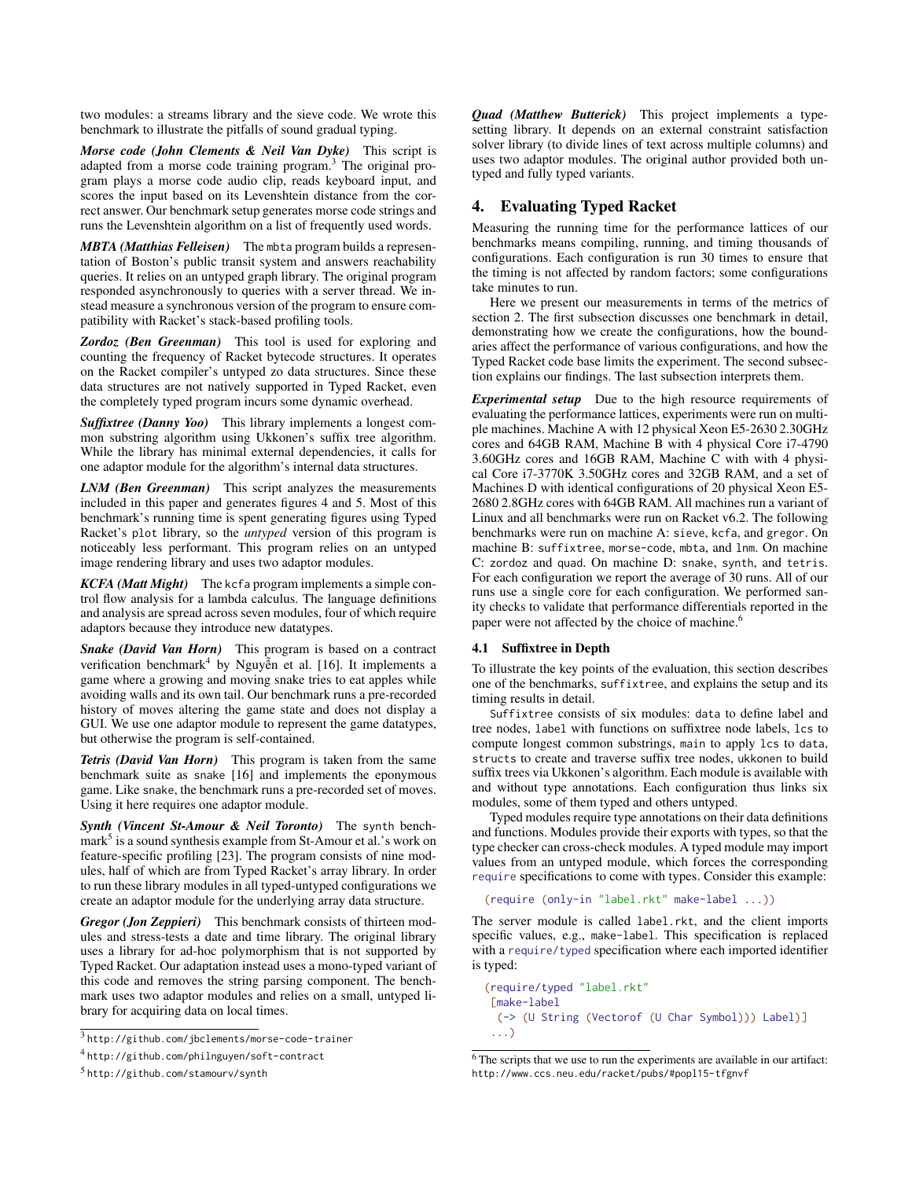two modules: a streams library and the sieve code. We wrote this benchmark to illustrate the pitfalls of sound gradual typing.

*Morse code (John Clements & Neil Van Dyke)* This script is adapted from a morse code training program.<sup>[3](#page-4-1)</sup> The original program plays a morse code audio clip, reads keyboard input, and scores the input based on its Levenshtein distance from the correct answer. Our benchmark setup generates morse code strings and runs the Levenshtein algorithm on a list of frequently used words.

*MBTA (Matthias Felleisen)* The mbta program builds a representation of Boston's public transit system and answers reachability queries. It relies on an untyped graph library. The original program responded asynchronously to queries with a server thread. We instead measure a synchronous version of the program to ensure compatibility with Racket's stack-based profiling tools.

*Zordoz (Ben Greenman)* This tool is used for exploring and counting the frequency of Racket bytecode structures. It operates on the Racket compiler's untyped zo data structures. Since these data structures are not natively supported in Typed Racket, even the completely typed program incurs some dynamic overhead.

*Suffixtree (Danny Yoo)* This library implements a longest common substring algorithm using Ukkonen's suffix tree algorithm. While the library has minimal external dependencies, it calls for one adaptor module for the algorithm's internal data structures.

*LNM (Ben Greenman)* This script analyzes the measurements included in this paper and generates figures 4 and 5. Most of this benchmark's running time is spent generating figures using Typed Racket's plot library, so the *untyped* version of this program is noticeably less performant. This program relies on an untyped image rendering library and uses two adaptor modules.

*KCFA (Matt Might)* The kcfa program implements a simple control flow analysis for a lambda calculus. The language definitions and analysis are spread across seven modules, four of which require adaptors because they introduce new datatypes.

*Snake (David Van Horn)* This program is based on a contract verification benchmark<sup>[4](#page-4-2)</sup> by Nguyễn et al. [\[16\]](#page-11-0). It implements a game where a growing and moving snake tries to eat apples while avoiding walls and its own tail. Our benchmark runs a pre-recorded history of moves altering the game state and does not display a GUI. We use one adaptor module to represent the game datatypes, but otherwise the program is self-contained.

*Tetris (David Van Horn)* This program is taken from the same benchmark suite as snake [\[16\]](#page-11-0) and implements the eponymous game. Like snake, the benchmark runs a pre-recorded set of moves. Using it here requires one adaptor module.

*Synth (Vincent St-Amour & Neil Toronto)* The synth bench-mark<sup>[5](#page-4-3)</sup> is a sound synthesis example from St-Amour et al.'s work on feature-specific profiling [\[23\]](#page-11-0). The program consists of nine modules, half of which are from Typed Racket's array library. In order to run these library modules in all typed-untyped configurations we create an adaptor module for the underlying array data structure.

*Gregor (Jon Zeppieri)* This benchmark consists of thirteen modules and stress-tests a date and time library. The original library uses a library for ad-hoc polymorphism that is not supported by Typed Racket. Our adaptation instead uses a mono-typed variant of this code and removes the string parsing component. The benchmark uses two adaptor modules and relies on a small, untyped library for acquiring data on local times.

```
5 http://github.com/stamourv/synth
```
*Quad (Matthew Butterick)* This project implements a typesetting library. It depends on an external constraint satisfaction solver library (to divide lines of text across multiple columns) and uses two adaptor modules. The original author provided both untyped and fully typed variants.

# <span id="page-4-0"></span>4. Evaluating Typed Racket

Measuring the running time for the performance lattices of our benchmarks means compiling, running, and timing thousands of configurations. Each configuration is run 30 times to ensure that the timing is not affected by random factors; some configurations take minutes to run.

Here we present our measurements in terms of the metrics of sectio[n 2.](#page-1-0) The first subsection discusses one benchmark in detail, demonstrating how we create the configurations, how the boundaries affect the performance of various configurations, and how the Typed Racket code base limits the experiment. The second subsection explains our findings. The last subsection interprets them.

*Experimental setup* Due to the high resource requirements of evaluating the performance lattices, experiments were run on multiple machines. Machine A with 12 physical Xeon E5-2630 2.30GHz cores and 64GB RAM, Machine B with 4 physical Core i7-4790 3.60GHz cores and 16GB RAM, Machine C with with 4 physical Core i7-3770K 3.50GHz cores and 32GB RAM, and a set of Machines D with identical configurations of 20 physical Xeon E5- 2680 2.8GHz cores with 64GB RAM. All machines run a variant of Linux and all benchmarks were run on Racket v6.2. The following benchmarks were run on machine A: sieve, kcfa, and gregor. On machine B: suffixtree, morse-code, mbta, and lnm. On machine C: zordoz and quad. On machine D: snake, synth, and tetris. For each configuration we report the average of 30 runs. All of our runs use a single core for each configuration. We performed sanity checks to validate that performance differentials reported in the paper were not affected by the choice of machine.<sup>[6](#page-4-4)</sup>

#### 4.1 Suffixtree in Depth

To illustrate the key points of the evaluation, this section describes one of the benchmarks, suffixtree, and explains the setup and its timing results in detail.

Suffixtree consists of six modules: data to define label and tree nodes, label with functions on suffixtree node labels, lcs to compute longest common substrings, main to apply lcs to data, structs to create and traverse suffix tree nodes, ukkonen to build suffix trees via Ukkonen's algorithm. Each module is available with and without type annotations. Each configuration thus links six modules, some of them typed and others untyped.

Typed modules require type annotations on their data definitions and functions. Modules provide their exports with types, so that the type checker can cross-check modules. A typed module may import values from an untyped module, which forces the corresponding require specifications to come with types. Consider this example:

```
(require (only-in "label.rkt" make-label ...))
```
The server module is called label.rkt, and the client imports specific values, e.g., make-label. This specification is replaced with a require/typed specification where each imported identifier is typed:

```
(require/typed "label.rkt"
[make-label
 (-> (U String (Vectorof (U Char Symbol))) Label)]
 ...)
```
<span id="page-4-1"></span><sup>3</sup> <http://github.com/jbclements/morse-code-trainer>

<span id="page-4-2"></span><sup>4</sup> <http://github.com/philnguyen/soft-contract>

<span id="page-4-4"></span><sup>6</sup> The scripts that we use to run the experiments are available in our artifact: <http://www.ccs.neu.edu/racket/pubs/#popl15-tfgnvf>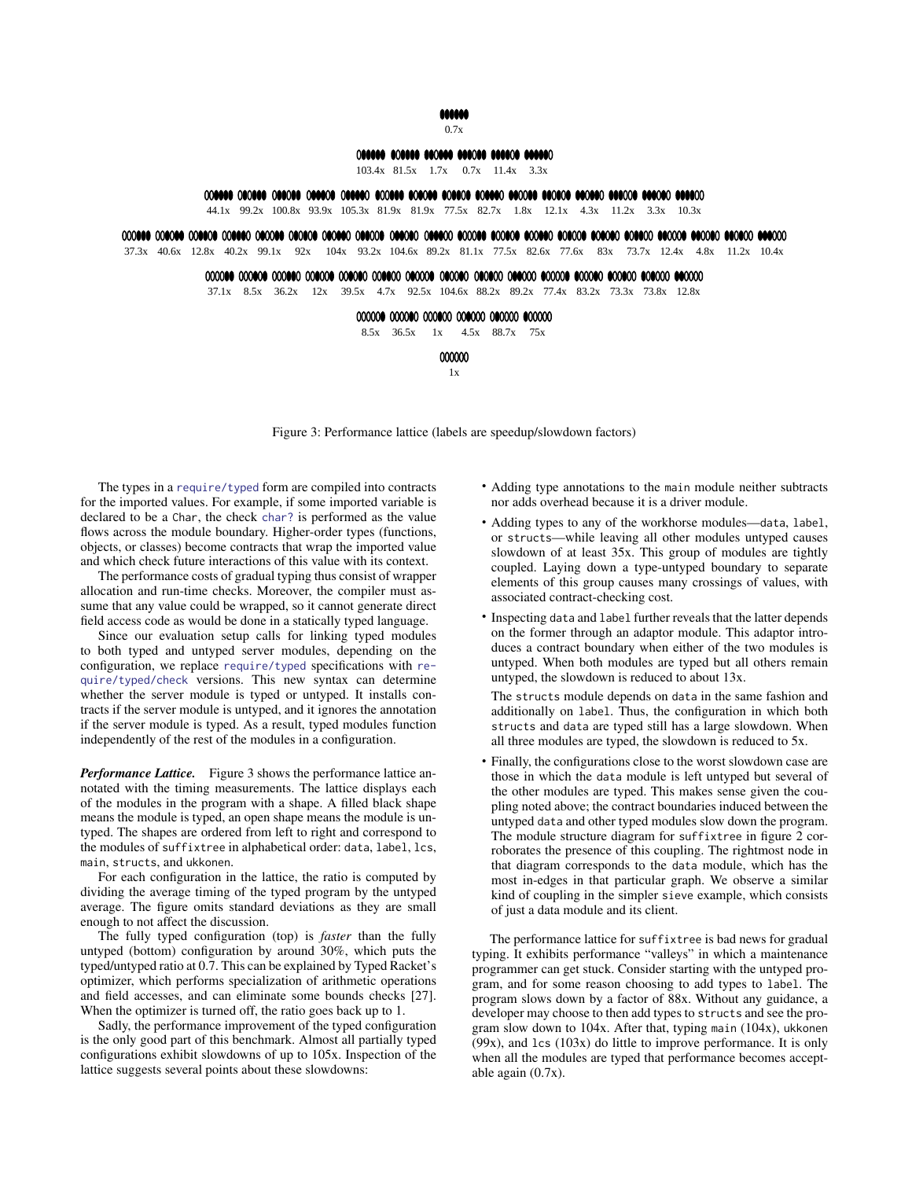### 666666

#### 0.7x

# 08888 808888 880888 888088 888808 888880

103.4x 81.5x 1.7x 0.7x 11.4x 3.3x

### 

44.1x 99.2x 100.8x 93.9x 105.3x 81.9x 81.9x 77.5x 82.7x 1.8x 12.1x 4.3x 11.2x 3.3x 10.3x

#### <span id="page-5-0"></span>

37.3x 40.6x 12.8x 40.2x 99.1x 92x 104x 93.2x 104.6x 89.2x 81.1x 77.5x 82.6x 77.6x 83x 73.7x 12.4x 4.8x 11.2x 10.4x

# 

37.1x 8.5x 36.2x 12x 39.5x 4.7x 92.5x 104.6x 88.2x 89.2x 77.4x 83.2x 73.3x 73.8x 12.8x

#### 

8.5x 36.5x 1x 4.5x 88.7x 75x

000000

1x

Figure 3: Performance lattice (labels are speedup/slowdown factors)

The types in a require/typed form are compiled into contracts for the imported values. For example, if some imported variable is declared to be a Char, the check char? is performed as the value flows across the module boundary. Higher-order types (functions, objects, or classes) become contracts that wrap the imported value and which check future interactions of this value with its context.

The performance costs of gradual typing thus consist of wrapper allocation and run-time checks. Moreover, the compiler must assume that any value could be wrapped, so it cannot generate direct field access code as would be done in a statically typed language.

Since our evaluation setup calls for linking typed modules to both typed and untyped server modules, depending on the configuration, we replace require/typed specifications with require/typed/check versions. This new syntax can determine whether the server module is typed or untyped. It installs contracts if the server module is untyped, and it ignores the annotation if the server module is typed. As a result, typed modules function independently of the rest of the modules in a configuration.

*Performance Lattice.* Figure [3](#page-5-0) shows the performance lattice annotated with the timing measurements. The lattice displays each of the modules in the program with a shape. A filled black shape means the module is typed, an open shape means the module is untyped. The shapes are ordered from left to right and correspond to the modules of suffixtree in alphabetical order: data, label, lcs, main, structs, and ukkonen.

For each configuration in the lattice, the ratio is computed by dividing the average timing of the typed program by the untyped average. The figure omits standard deviations as they are small enough to not affect the discussion.

The fully typed configuration (top) is *faster* than the fully untyped (bottom) configuration by around 30%, which puts the typed/untyped ratio at 0.7. This can be explained by Typed Racket's optimizer, which performs specialization of arithmetic operations and field accesses, and can eliminate some bounds checks [\[27\]](#page-11-0). When the optimizer is turned off, the ratio goes back up to 1.

Sadly, the performance improvement of the typed configuration is the only good part of this benchmark. Almost all partially typed configurations exhibit slowdowns of up to 105x. Inspection of the lattice suggests several points about these slowdowns:

- Adding type annotations to the main module neither subtracts nor adds overhead because it is a driver module.
- Adding types to any of the workhorse modules—data, label, or structs—while leaving all other modules untyped causes slowdown of at least 35x. This group of modules are tightly coupled. Laying down a type-untyped boundary to separate elements of this group causes many crossings of values, with associated contract-checking cost.
- Inspecting data and label further reveals that the latter depends on the former through an adaptor module. This adaptor introduces a contract boundary when either of the two modules is untyped. When both modules are typed but all others remain untyped, the slowdown is reduced to about 13x.

The structs module depends on data in the same fashion and additionally on label. Thus, the configuration in which both structs and data are typed still has a large slowdown. When all three modules are typed, the slowdown is reduced to 5x.

• Finally, the configurations close to the worst slowdown case are those in which the data module is left untyped but several of the other modules are typed. This makes sense given the coupling noted above; the contract boundaries induced between the untyped data and other typed modules slow down the program. The module structure diagram for suffixtree in figure [2](#page-3-0) corroborates the presence of this coupling. The rightmost node in that diagram corresponds to the data module, which has the most in-edges in that particular graph. We observe a similar kind of coupling in the simpler sieve example, which consists of just a data module and its client.

The performance lattice for suffixtree is bad news for gradual typing. It exhibits performance "valleys" in which a maintenance programmer can get stuck. Consider starting with the untyped program, and for some reason choosing to add types to label. The program slows down by a factor of 88x. Without any guidance, a developer may choose to then add types to structs and see the program slow down to 104x. After that, typing main (104x), ukkonen  $(99x)$ , and  $1cs$   $(103x)$  do little to improve performance. It is only when all the modules are typed that performance becomes acceptable again (0.7x).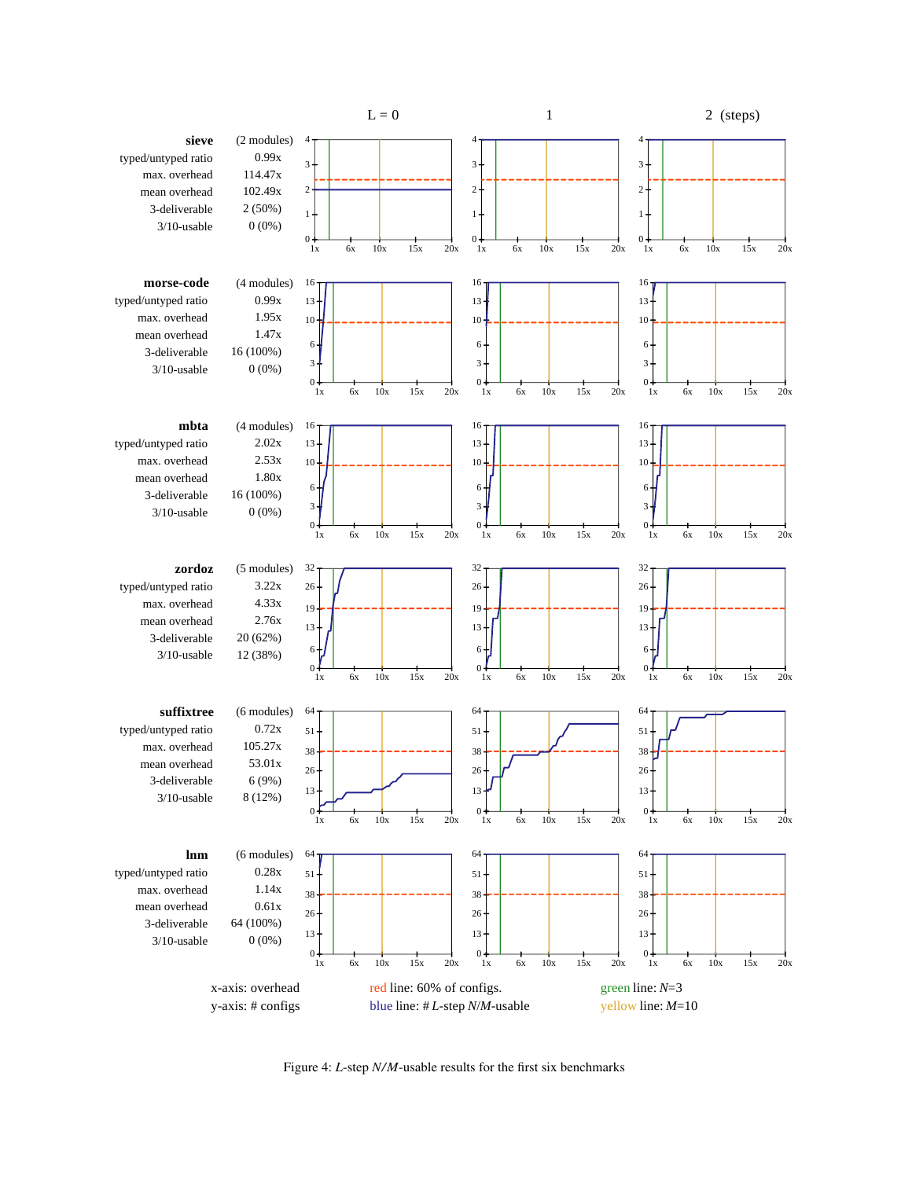<span id="page-6-0"></span>

Figure 4: *L*-step *N/M*-usable results for the first six benchmarks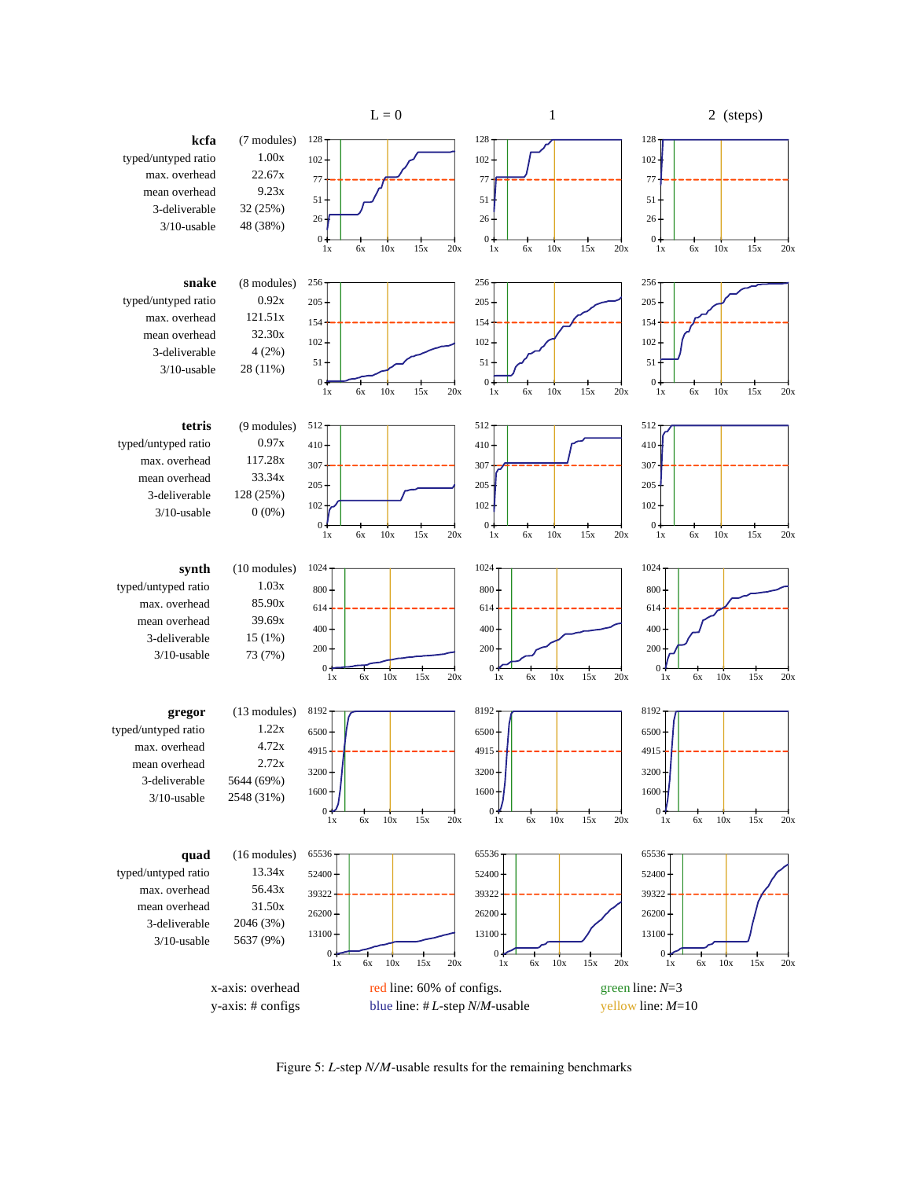<span id="page-7-0"></span>

Figure 5: *L*-step *N/M*-usable results for the remaining benchmarks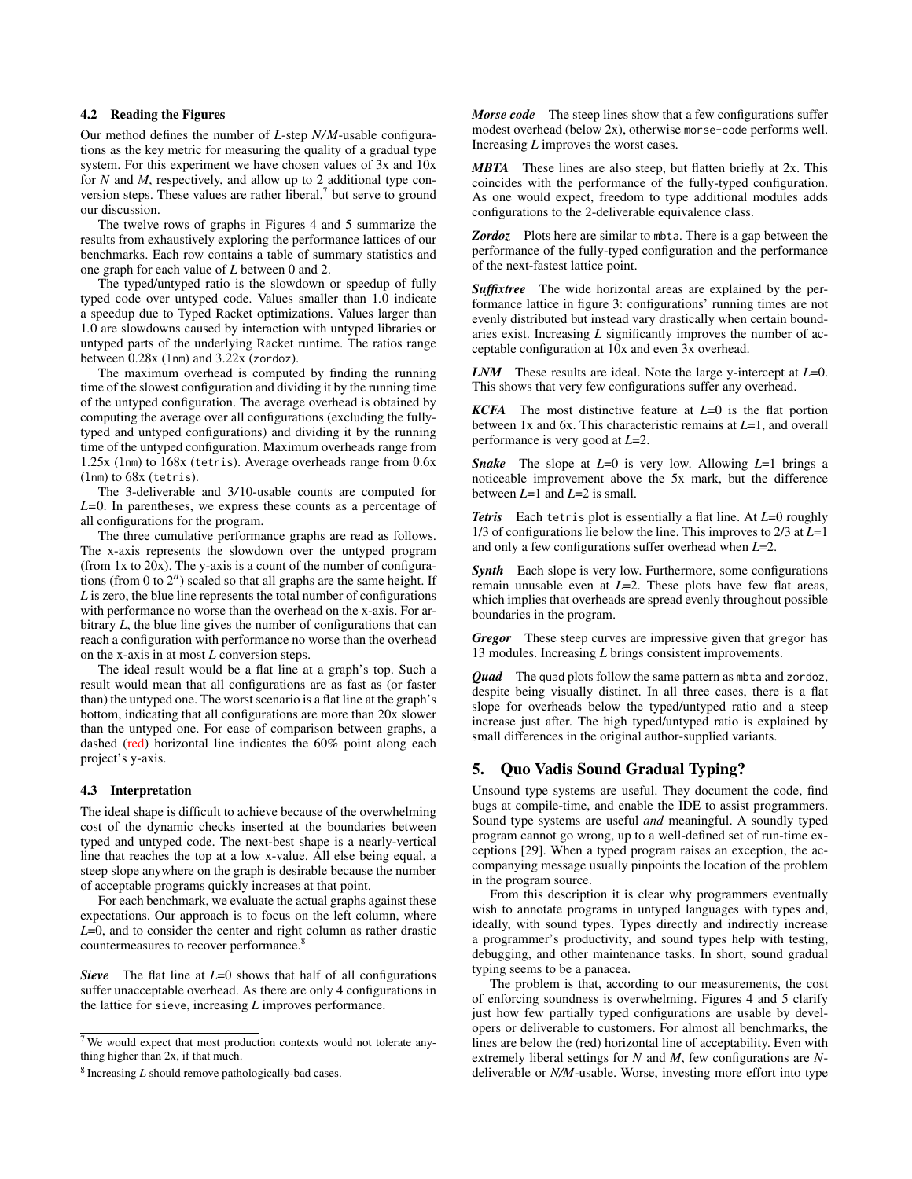# 4.2 Reading the Figures

Our method defines the number of *L*-step *N/M*-usable configurations as the key metric for measuring the quality of a gradual type system. For this experiment we have chosen values of 3x and 10x for *N* and *M*, respectively, and allow up to 2 additional type conversion steps. These values are rather liberal, $7$  but serve to ground our discussion.

The twelve rows of graphs in Figures [4](#page-6-0) and [5](#page-7-0) summarize the results from exhaustively exploring the performance lattices of our benchmarks. Each row contains a table of summary statistics and one graph for each value of *L* between 0 and 2.

The typed/untyped ratio is the slowdown or speedup of fully typed code over untyped code. Values smaller than 1*.*0 indicate a speedup due to Typed Racket optimizations. Values larger than 1*.*0 are slowdowns caused by interaction with untyped libraries or untyped parts of the underlying Racket runtime. The ratios range between 0.28x (lnm) and 3.22x (zordoz).

The maximum overhead is computed by finding the running time of the slowest configuration and dividing it by the running time of the untyped configuration. The average overhead is obtained by computing the average over all configurations (excluding the fullytyped and untyped configurations) and dividing it by the running time of the untyped configuration. Maximum overheads range from 1.25x (lnm) to 168x (tetris). Average overheads range from 0.6x (lnm) to 68x (tetris).

The 3-deliverable and 3*/*10-usable counts are computed for *L=*0. In parentheses, we express these counts as a percentage of all configurations for the program.

The three cumulative performance graphs are read as follows. The x-axis represents the slowdown over the untyped program (from 1x to 20x). The y-axis is a count of the number of configurations (from 0 to  $2^n$ ) scaled so that all graphs are the same height. If *L* is zero, the blue line represents the total number of configurations with performance no worse than the overhead on the x-axis. For arbitrary *L*, the blue line gives the number of configurations that can reach a configuration with performance no worse than the overhead on the x-axis in at most *L* conversion steps.

The ideal result would be a flat line at a graph's top. Such a result would mean that all configurations are as fast as (or faster than) the untyped one. The worst scenario is a flat line at the graph's bottom, indicating that all configurations are more than 20x slower than the untyped one. For ease of comparison between graphs, a dashed (red) horizontal line indicates the 60% point along each project's y-axis.

#### 4.3 Interpretation

The ideal shape is difficult to achieve because of the overwhelming cost of the dynamic checks inserted at the boundaries between typed and untyped code. The next-best shape is a nearly-vertical line that reaches the top at a low x-value. All else being equal, a steep slope anywhere on the graph is desirable because the number of acceptable programs quickly increases at that point.

For each benchmark, we evaluate the actual graphs against these expectations. Our approach is to focus on the left column, where *L*=0, and to consider the center and right column as rather drastic countermeasures to recover performance.<sup>[8](#page-8-2)</sup>

*Sieve* The flat line at *L*=0 shows that half of all configurations suffer unacceptable overhead. As there are only 4 configurations in the lattice for sieve, increasing *L* improves performance.

*Morse code* The steep lines show that a few configurations suffer modest overhead (below 2x), otherwise morse-code performs well. Increasing *L* improves the worst cases.

*MBTA* These lines are also steep, but flatten briefly at 2x. This coincides with the performance of the fully-typed configuration. As one would expect, freedom to type additional modules adds configurations to the 2-deliverable equivalence class.

*Zordoz* Plots here are similar to mbta. There is a gap between the performance of the fully-typed configuration and the performance of the next-fastest lattice point.

*Suffixtree* The wide horizontal areas are explained by the performance lattice in figure [3:](#page-5-0) configurations' running times are not evenly distributed but instead vary drastically when certain boundaries exist. Increasing *L* significantly improves the number of acceptable configuration at 10x and even 3x overhead.

*LNM* These results are ideal. Note the large y-intercept at *L*=0. This shows that very few configurations suffer any overhead.

*KCFA* The most distinctive feature at *L*=0 is the flat portion between 1x and 6x. This characteristic remains at *L*=1, and overall performance is very good at *L*=2.

*Snake* The slope at *L*=0 is very low. Allowing *L*=1 brings a noticeable improvement above the 5x mark, but the difference between *L*=1 and *L*=2 is small.

*Tetris* Each tetris plot is essentially a flat line. At *L*=0 roughly 1/3 of configurations lie below the line. This improves to 2/3 at *L*=1 and only a few configurations suffer overhead when *L*=2.

**Synth** Each slope is very low. Furthermore, some configurations remain unusable even at *L*=2. These plots have few flat areas, which implies that overheads are spread evenly throughout possible boundaries in the program.

*Gregor* These steep curves are impressive given that gregor has 13 modules. Increasing *L* brings consistent improvements.

*Quad* The quad plots follow the same pattern as mbta and zordoz, despite being visually distinct. In all three cases, there is a flat slope for overheads below the typed/untyped ratio and a steep increase just after. The high typed/untyped ratio is explained by small differences in the original author-supplied variants.

# <span id="page-8-0"></span>5. Quo Vadis Sound Gradual Typing?

Unsound type systems are useful. They document the code, find bugs at compile-time, and enable the IDE to assist programmers. Sound type systems are useful *and* meaningful. A soundly typed program cannot go wrong, up to a well-defined set of run-time exceptions [\[29\]](#page-11-0). When a typed program raises an exception, the accompanying message usually pinpoints the location of the problem in the program source.

From this description it is clear why programmers eventually wish to annotate programs in untyped languages with types and, ideally, with sound types. Types directly and indirectly increase a programmer's productivity, and sound types help with testing, debugging, and other maintenance tasks. In short, sound gradual typing seems to be a panacea.

The problem is that, according to our measurements, the cost of enforcing soundness is overwhelming. Figures [4](#page-6-0) and [5](#page-7-0) clarify just how few partially typed configurations are usable by developers or deliverable to customers. For almost all benchmarks, the lines are below the (red) horizontal line of acceptability. Even with extremely liberal settings for *N* and *M*, few configurations are *N*deliverable or *N/M*-usable. Worse, investing more effort into type

<span id="page-8-1"></span><sup>7</sup> We would expect that most production contexts would not tolerate anything higher than 2x, if that much.

<span id="page-8-2"></span><sup>8</sup> Increasing *L* should remove pathologically-bad cases.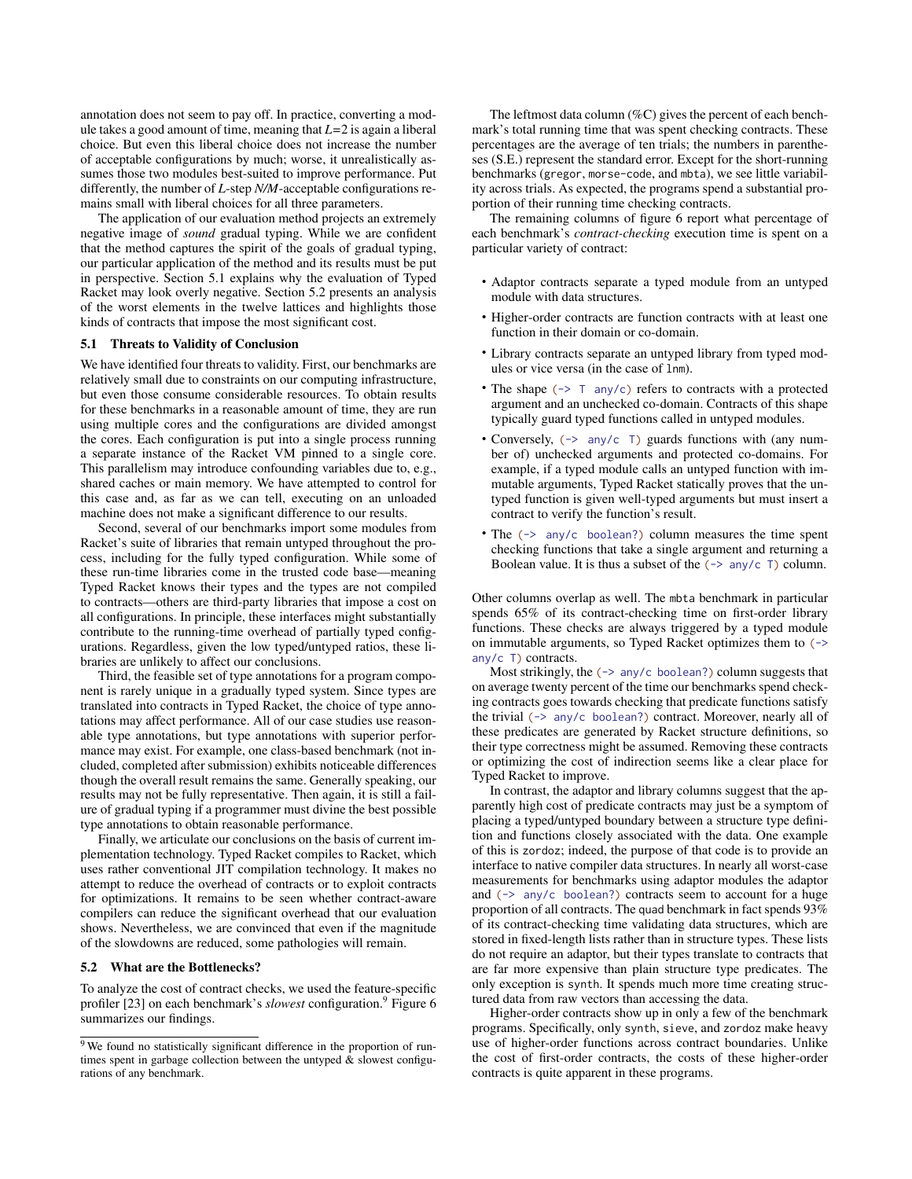annotation does not seem to pay off. In practice, converting a module takes a good amount of time, meaning that *L=*2 is again a liberal choice. But even this liberal choice does not increase the number of acceptable configurations by much; worse, it unrealistically assumes those two modules best-suited to improve performance. Put differently, the number of *L*-step *N/M*-acceptable configurations remains small with liberal choices for all three parameters.

The application of our evaluation method projects an extremely negative image of *sound* gradual typing. While we are confident that the method captures the spirit of the goals of gradual typing, our particular application of the method and its results must be put in perspective. [Section 5.1](#page-9-0) explains why the evaluation of Typed Racket may look overly negative. [Section 5.2](#page-9-1) presents an analysis of the worst elements in the twelve lattices and highlights those kinds of contracts that impose the most significant cost.

### <span id="page-9-0"></span>5.1 Threats to Validity of Conclusion

We have identified four threats to validity. First, our benchmarks are relatively small due to constraints on our computing infrastructure, but even those consume considerable resources. To obtain results for these benchmarks in a reasonable amount of time, they are run using multiple cores and the configurations are divided amongst the cores. Each configuration is put into a single process running a separate instance of the Racket VM pinned to a single core. This parallelism may introduce confounding variables due to, e.g., shared caches or main memory. We have attempted to control for this case and, as far as we can tell, executing on an unloaded machine does not make a significant difference to our results.

Second, several of our benchmarks import some modules from Racket's suite of libraries that remain untyped throughout the process, including for the fully typed configuration. While some of these run-time libraries come in the trusted code base—meaning Typed Racket knows their types and the types are not compiled to contracts—others are third-party libraries that impose a cost on all configurations. In principle, these interfaces might substantially contribute to the running-time overhead of partially typed configurations. Regardless, given the low typed/untyped ratios, these libraries are unlikely to affect our conclusions.

Third, the feasible set of type annotations for a program component is rarely unique in a gradually typed system. Since types are translated into contracts in Typed Racket, the choice of type annotations may affect performance. All of our case studies use reasonable type annotations, but type annotations with superior performance may exist. For example, one class-based benchmark (not included, completed after submission) exhibits noticeable differences though the overall result remains the same. Generally speaking, our results may not be fully representative. Then again, it is still a failure of gradual typing if a programmer must divine the best possible type annotations to obtain reasonable performance.

Finally, we articulate our conclusions on the basis of current implementation technology. Typed Racket compiles to Racket, which uses rather conventional JIT compilation technology. It makes no attempt to reduce the overhead of contracts or to exploit contracts for optimizations. It remains to be seen whether contract-aware compilers can reduce the significant overhead that our evaluation shows. Nevertheless, we are convinced that even if the magnitude of the slowdowns are reduced, some pathologies will remain.

#### <span id="page-9-1"></span>5.2 What are the Bottlenecks?

To analyze the cost of contract checks, we used the feature-specific profiler [\[23\]](#page-11-0) on each benchmark's *slowest* configuration.<sup>[9](#page-9-2)</sup> Figure [6](#page-10-0) summarizes our findings.

The leftmost data column  $(\%C)$  gives the percent of each benchmark's total running time that was spent checking contracts. These percentages are the average of ten trials; the numbers in parentheses (S.E.) represent the standard error. Except for the short-running benchmarks (gregor, morse-code, and mbta), we see little variability across trials. As expected, the programs spend a substantial proportion of their running time checking contracts.

The remaining columns of figure [6](#page-10-0) report what percentage of each benchmark's *contract-checking* execution time is spent on a particular variety of contract:

- Adaptor contracts separate a typed module from an untyped module with data structures.
- Higher-order contracts are function contracts with at least one function in their domain or co-domain.
- Library contracts separate an untyped library from typed modules or vice versa (in the case of lnm).
- The shape  $(\rightarrow \top$  any/c) refers to contracts with a protected argument and an unchecked co-domain. Contracts of this shape typically guard typed functions called in untyped modules.
- Conversely,  $(\rightarrow$  any/c  $\top$ ) guards functions with (any number of) unchecked arguments and protected co-domains. For example, if a typed module calls an untyped function with immutable arguments, Typed Racket statically proves that the untyped function is given well-typed arguments but must insert a contract to verify the function's result.
- The  $(\rightarrow$  any/c boolean?) column measures the time spent checking functions that take a single argument and returning a Boolean value. It is thus a subset of the  $(\neg$  any/c T) column.

Other columns overlap as well. The mbta benchmark in particular spends 65% of its contract-checking time on first-order library functions. These checks are always triggered by a typed module on immutable arguments, so Typed Racket optimizes them to (-> any/c T) contracts.

Most strikingly, the  $(\rightarrow$  any/c boolean?) column suggests that on average twenty percent of the time our benchmarks spend checking contracts goes towards checking that predicate functions satisfy the trivial (-> any/c boolean?) contract. Moreover, nearly all of these predicates are generated by Racket structure definitions, so their type correctness might be assumed. Removing these contracts or optimizing the cost of indirection seems like a clear place for Typed Racket to improve.

In contrast, the adaptor and library columns suggest that the apparently high cost of predicate contracts may just be a symptom of placing a typed/untyped boundary between a structure type definition and functions closely associated with the data. One example of this is zordoz; indeed, the purpose of that code is to provide an interface to native compiler data structures. In nearly all worst-case measurements for benchmarks using adaptor modules the adaptor and  $(\rightarrow$  any/c boolean?) contracts seem to account for a huge proportion of all contracts. The quad benchmark in fact spends 93% of its contract-checking time validating data structures, which are stored in fixed-length lists rather than in structure types. These lists do not require an adaptor, but their types translate to contracts that are far more expensive than plain structure type predicates. The only exception is synth. It spends much more time creating structured data from raw vectors than accessing the data.

Higher-order contracts show up in only a few of the benchmark programs. Specifically, only synth, sieve, and zordoz make heavy use of higher-order functions across contract boundaries. Unlike the cost of first-order contracts, the costs of these higher-order contracts is quite apparent in these programs.

<span id="page-9-2"></span><sup>&</sup>lt;sup>9</sup> We found no statistically significant difference in the proportion of runtimes spent in garbage collection between the untyped & slowest configurations of any benchmark.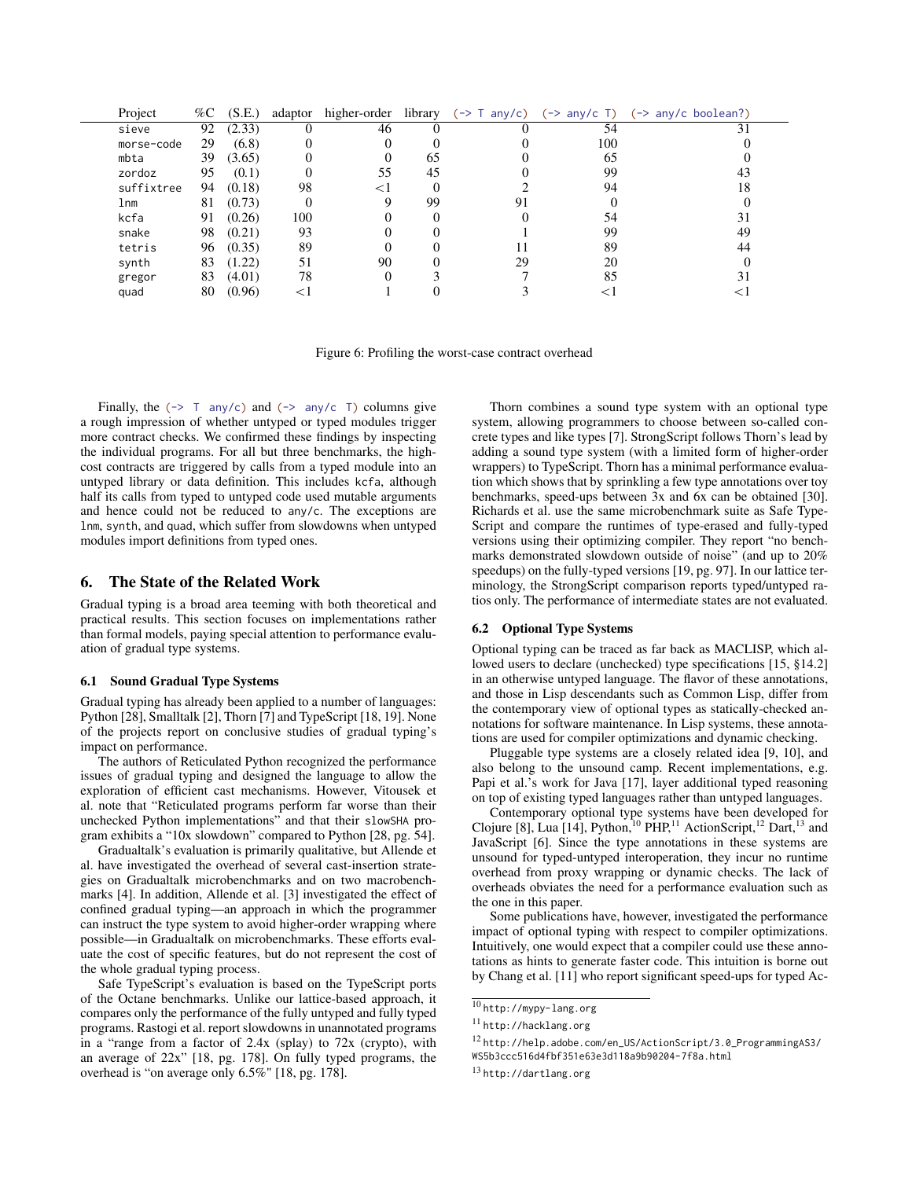<span id="page-10-0"></span>

| Project    | %C | (S.E.) | adaptor | higher-order |    | library $(\rightarrow \text{T any}/c)$ $(\rightarrow \text{any}/c \text{T})$ |     | (-> any/c boolean?) |
|------------|----|--------|---------|--------------|----|------------------------------------------------------------------------------|-----|---------------------|
| sieve      | 92 | (2.33) |         | 46           |    |                                                                              | 54  |                     |
| morse-code | 29 | (6.8)  | 0       |              |    |                                                                              | 100 |                     |
| mbta       | 39 | (3.65) | O       | $_{0}$       | 65 |                                                                              | 65  |                     |
| zordoz     | 95 | (0.1)  | 0       | 55           | 45 |                                                                              | 99  |                     |
| suffixtree | 94 | (0.18) | 98      | <1           |    |                                                                              | 94  |                     |
| lnm        | 81 | (0.73) | 0       |              | 99 | 91                                                                           |     |                     |
| kcfa       | 91 | (0.26) | 100     |              |    |                                                                              | 54  |                     |
| snake      | 98 | (0.21) | 93      |              |    |                                                                              | 99  | 49                  |
| tetris     | 96 | (0.35) | 89      |              |    |                                                                              | 89  | 44                  |
| synth      | 83 | (1.22) | 51      | 90           |    | 29                                                                           | 20  |                     |
| gregor     | 83 | (4.01) | 78      |              |    |                                                                              | 85  |                     |
| quad       | 80 | (0.96) |         |              |    |                                                                              |     |                     |

Figure 6: Profiling the worst-case contract overhead

Finally, the  $(\rightarrow \text{T}$  any/c) and  $(\rightarrow \text{any/c} \text{T})$  columns give a rough impression of whether untyped or typed modules trigger more contract checks. We confirmed these findings by inspecting the individual programs. For all but three benchmarks, the highcost contracts are triggered by calls from a typed module into an untyped library or data definition. This includes kcfa, although half its calls from typed to untyped code used mutable arguments and hence could not be reduced to any/c. The exceptions are lnm, synth, and quad, which suffer from slowdowns when untyped modules import definitions from typed ones.

#### The State of the Related Work 6.

Gradual typing is a broad area teeming with both theoretical and practical results. This section focuses on implementations rather than formal models, paying special attention to performance evaluation of gradual type systems.

#### **6.1 Sound Gradual Type Systems**

Gradual typing has already been applied to a number of languages: Python [28], Smalltalk [2], Thorn [7] and TypeScript [18, 19]. None of the projects report on conclusive studies of gradual typing's impact on performance.

The authors of Reticulated Python recognized the performance issues of gradual typing and designed the language to allow the exploration of efficient cast mechanisms. However, Vitousek et al. note that "Reticulated programs perform far worse than their unchecked Python implementations" and that their slowSHA program exhibits a "10x slowdown" compared to Python [28, pg. 54].

Gradualtalk's evaluation is primarily qualitative, but Allende et al. have investigated the overhead of several cast-insertion strategies on Gradualtalk microbenchmarks and on two macrobenchmarks [4]. In addition, Allende et al. [3] investigated the effect of confined gradual typing—an approach in which the programmer can instruct the type system to avoid higher-order wrapping where possible—in Gradualtalk on microbenchmarks. These efforts evaluate the cost of specific features, but do not represent the cost of the whole gradual typing process.

Safe TypeScript's evaluation is based on the TypeScript ports of the Octane benchmarks. Unlike our lattice-based approach, it compares only the performance of the fully untyped and fully typed programs. Rastogi et al. report slowdowns in unannotated programs in a "range from a factor of 2.4x (splay) to 72x (crypto), with an average of 22x" [18, pg. 178]. On fully typed programs, the overhead is "on average only 6.5%" [18, pg. 178].

Thorn combines a sound type system with an optional type system, allowing programmers to choose between so-called concrete types and like types [7]. Strong Script follows Thorn's lead by adding a sound type system (with a limited form of higher-order wrappers) to TypeScript. Thorn has a minimal performance evaluation which shows that by sprinkling a few type annotations over toy benchmarks, speed-ups between 3x and 6x can be obtained [30]. Richards et al. use the same microbenchmark suite as Safe Type-Script and compare the runtimes of type-erased and fully-typed versions using their optimizing compiler. They report "no benchmarks demonstrated slowdown outside of noise" (and up to 20% speedups) on the fully-typed versions [19, pg. 97]. In our lattice terminology, the StrongScript comparison reports typed/untyped ratios only. The performance of intermediate states are not evaluated.

# **6.2** Optional Type Systems

Optional typing can be traced as far back as MACLISP, which allowed users to declare (unchecked) type specifications [15, §14.2] in an otherwise untyped language. The flavor of these annotations, and those in Lisp descendants such as Common Lisp, differ from the contemporary view of optional types as statically-checked annotations for software maintenance. In Lisp systems, these annotations are used for compiler optimizations and dynamic checking.

Pluggable type systems are a closely related idea [9, 10], and also belong to the unsound camp. Recent implementations, e.g. Papi et al.'s work for Java [17], layer additional typed reasoning on top of existing typed languages rather than untyped languages.

Contemporary optional type systems have been developed for<br>Clojure [8], Lua [14], Python,<sup>10</sup> PHP,<sup>11</sup> ActionScript,<sup>12</sup> Dart,<sup>13</sup> and JavaScript [6]. Since the type annotations in these systems are unsound for typed-untyped interoperation, they incur no runtime overhead from proxy wrapping or dynamic checks. The lack of overheads obviates the need for a performance evaluation such as the one in this paper.

Some publications have, however, investigated the performance impact of optional typing with respect to compiler optimizations. Intuitively, one would expect that a compiler could use these annotations as hints to generate faster code. This intuition is borne out by Chang et al. [11] who report significant speed-ups for typed Ac-

<span id="page-10-1"></span> $\overline{10$  http://mypy-lang.org

<span id="page-10-2"></span><sup>&</sup>lt;sup>11</sup> http://hacklang.org

<span id="page-10-3"></span><sup>&</sup>lt;sup>12</sup> http://help.adobe.com/en\_US/ActionScript/3.0\_ProgrammingAS3/ WS5b3ccc516d4fbf351e63e3d118a9b90204-7f8a.html

<span id="page-10-4"></span><sup>&</sup>lt;sup>13</sup> http://dartlang.org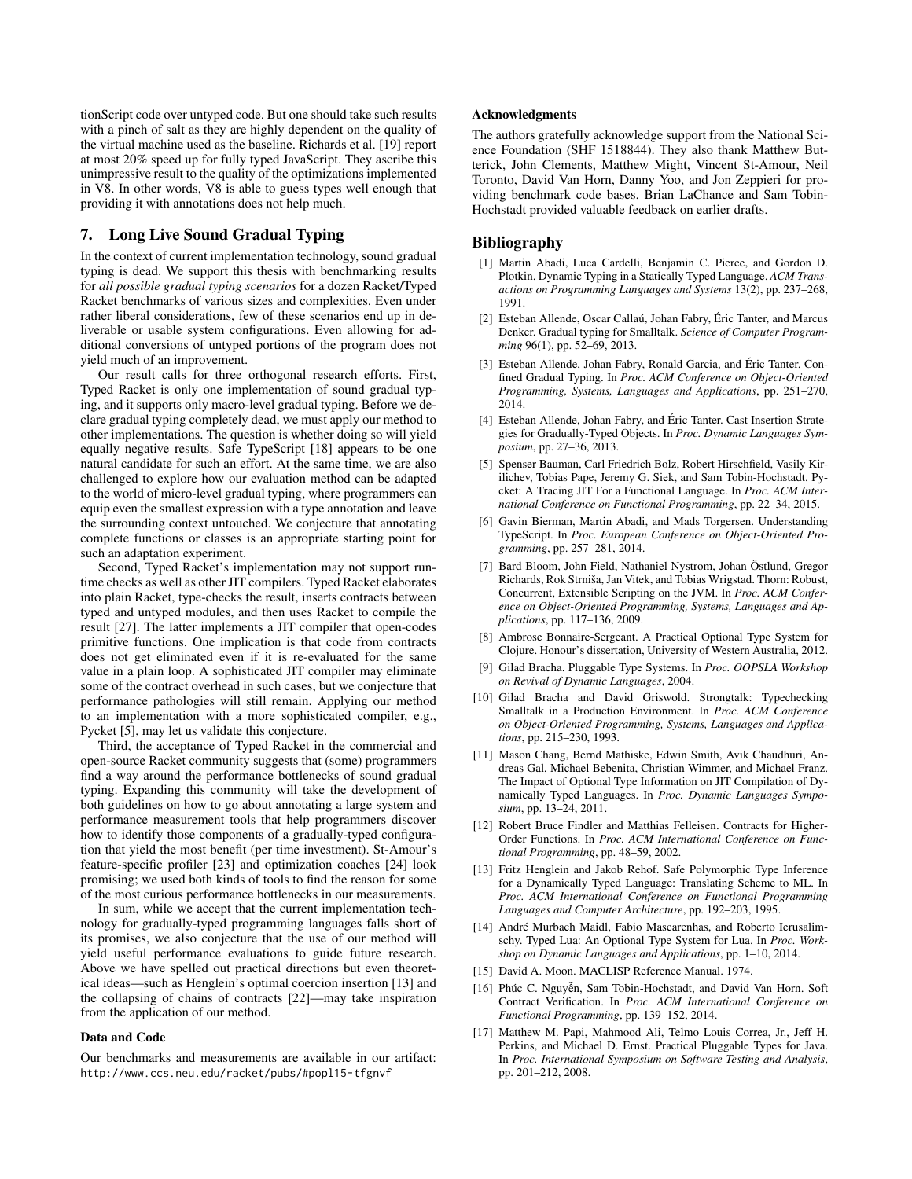tionScript code over untyped code. But one should take such results with a pinch of salt as they are highly dependent on the quality of the virtual machine used as the baseline. Richards et al. [\[19\]](#page-11-0) report at most 20% speed up for fully typed JavaScript. They ascribe this unimpressive result to the quality of the optimizations implemented in V8. In other words, V8 is able to guess types well enough that providing it with annotations does not help much.

# 7. Long Live Sound Gradual Typing

In the context of current implementation technology, sound gradual typing is dead. We support this thesis with benchmarking results for *all possible gradual typing scenarios* for a dozen Racket/Typed Racket benchmarks of various sizes and complexities. Even under rather liberal considerations, few of these scenarios end up in deliverable or usable system configurations. Even allowing for additional conversions of untyped portions of the program does not yield much of an improvement.

Our result calls for three orthogonal research efforts. First, Typed Racket is only one implementation of sound gradual typing, and it supports only macro-level gradual typing. Before we declare gradual typing completely dead, we must apply our method to other implementations. The question is whether doing so will yield equally negative results. Safe TypeScript [\[18\]](#page-11-0) appears to be one natural candidate for such an effort. At the same time, we are also challenged to explore how our evaluation method can be adapted to the world of micro-level gradual typing, where programmers can equip even the smallest expression with a type annotation and leave the surrounding context untouched. We conjecture that annotating complete functions or classes is an appropriate starting point for such an adaptation experiment.

Second, Typed Racket's implementation may not support runtime checks as well as other JIT compilers. Typed Racket elaborates into plain Racket, type-checks the result, inserts contracts between typed and untyped modules, and then uses Racket to compile the result [\[27\]](#page-11-0). The latter implements a JIT compiler that open-codes primitive functions. One implication is that code from contracts does not get eliminated even if it is re-evaluated for the same value in a plain loop. A sophisticated JIT compiler may eliminate some of the contract overhead in such cases, but we conjecture that performance pathologies will still remain. Applying our method to an implementation with a more sophisticated compiler, e.g., Pycket [\[5\]](#page-11-0), may let us validate this conjecture.

Third, the acceptance of Typed Racket in the commercial and open-source Racket community suggests that (some) programmers find a way around the performance bottlenecks of sound gradual typing. Expanding this community will take the development of both guidelines on how to go about annotating a large system and performance measurement tools that help programmers discover how to identify those components of a gradually-typed configuration that yield the most benefit (per time investment). St-Amour's feature-specific profiler [\[23\]](#page-11-0) and optimization coaches [\[24\]](#page-11-0) look promising; we used both kinds of tools to find the reason for some of the most curious performance bottlenecks in our measurements.

In sum, while we accept that the current implementation technology for gradually-typed programming languages falls short of its promises, we also conjecture that the use of our method will yield useful performance evaluations to guide future research. Above we have spelled out practical directions but even theoretical ideas—such as Henglein's optimal coercion insertion [\[13\]](#page-11-0) and the collapsing of chains of contracts [\[22\]](#page-11-0)—may take inspiration from the application of our method.

# Data and Code

Our benchmarks and measurements are available in our artifact: <http://www.ccs.neu.edu/racket/pubs/#popl15-tfgnvf>

#### Acknowledgments

The authors gratefully acknowledge support from the National Science Foundation (SHF 1518844). They also thank Matthew Butterick, John Clements, Matthew Might, Vincent St-Amour, Neil Toronto, David Van Horn, Danny Yoo, and Jon Zeppieri for providing benchmark code bases. Brian LaChance and Sam Tobin-Hochstadt provided valuable feedback on earlier drafts.

# <span id="page-11-0"></span>Bibliography

- [1] Martin Abadi, Luca Cardelli, Benjamin C. Pierce, and Gordon D. Plotkin. Dynamic Typing in a Statically Typed Language. *ACM Transactions on Programming Languages and Systems* 13(2), pp. 237–268, 1991.
- [2] Esteban Allende, Oscar Callaú, Johan Fabry, Éric Tanter, and Marcus Denker. Gradual typing for Smalltalk. *Science of Computer Programming* 96(1), pp. 52–69, 2013.
- [3] Esteban Allende, Johan Fabry, Ronald Garcia, and Éric Tanter. Confined Gradual Typing. In *Proc. ACM Conference on Object-Oriented Programming, Systems, Languages and Applications*, pp. 251–270, 2014.
- [4] Esteban Allende, Johan Fabry, and Éric Tanter. Cast Insertion Strategies for Gradually-Typed Objects. In *Proc. Dynamic Languages Symposium*, pp. 27–36, 2013.
- [5] Spenser Bauman, Carl Friedrich Bolz, Robert Hirschfield, Vasily Kirilichev, Tobias Pape, Jeremy G. Siek, and Sam Tobin-Hochstadt. Pycket: A Tracing JIT For a Functional Language. In *Proc. ACM International Conference on Functional Programming*, pp. 22–34, 2015.
- [6] Gavin Bierman, Martin Abadi, and Mads Torgersen. Understanding TypeScript. In *Proc. European Conference on Object-Oriented Programming*, pp. 257–281, 2014.
- [7] Bard Bloom, John Field, Nathaniel Nystrom, Johan Östlund, Gregor Richards, Rok Strniša, Jan Vitek, and Tobias Wrigstad. Thorn: Robust, Concurrent, Extensible Scripting on the JVM. In *Proc. ACM Conference on Object-Oriented Programming, Systems, Languages and Applications*, pp. 117–136, 2009.
- [8] Ambrose Bonnaire-Sergeant. A Practical Optional Type System for Clojure. Honour's dissertation, University of Western Australia, 2012.
- [9] Gilad Bracha. Pluggable Type Systems. In *Proc. OOPSLA Workshop on Revival of Dynamic Languages*, 2004.
- [10] Gilad Bracha and David Griswold. Strongtalk: Typechecking Smalltalk in a Production Environment. In *Proc. ACM Conference on Object-Oriented Programming, Systems, Languages and Applications*, pp. 215–230, 1993.
- [11] Mason Chang, Bernd Mathiske, Edwin Smith, Avik Chaudhuri, Andreas Gal, Michael Bebenita, Christian Wimmer, and Michael Franz. The Impact of Optional Type Information on JIT Compilation of Dynamically Typed Languages. In *Proc. Dynamic Languages Symposium*, pp. 13–24, 2011.
- [12] Robert Bruce Findler and Matthias Felleisen. Contracts for Higher-Order Functions. In *Proc. ACM International Conference on Functional Programming*, pp. 48–59, 2002.
- [13] Fritz Henglein and Jakob Rehof. Safe Polymorphic Type Inference for a Dynamically Typed Language: Translating Scheme to ML. In *Proc. ACM International Conference on Functional Programming Languages and Computer Architecture*, pp. 192–203, 1995.
- [14] André Murbach Maidl, Fabio Mascarenhas, and Roberto Ierusalimschy. Typed Lua: An Optional Type System for Lua. In *Proc. Workshop on Dynamic Languages and Applications*, pp. 1–10, 2014.
- [15] David A. Moon. MACLISP Reference Manual. 1974.
- [16] Phúc C. Nguyễn, Sam Tobin-Hochstadt, and David Van Horn. Soft Contract Verification. In *Proc. ACM International Conference on Functional Programming*, pp. 139–152, 2014.
- [17] Matthew M. Papi, Mahmood Ali, Telmo Louis Correa, Jr., Jeff H. Perkins, and Michael D. Ernst. Practical Pluggable Types for Java. In *Proc. International Symposium on Software Testing and Analysis*, pp. 201–212, 2008.